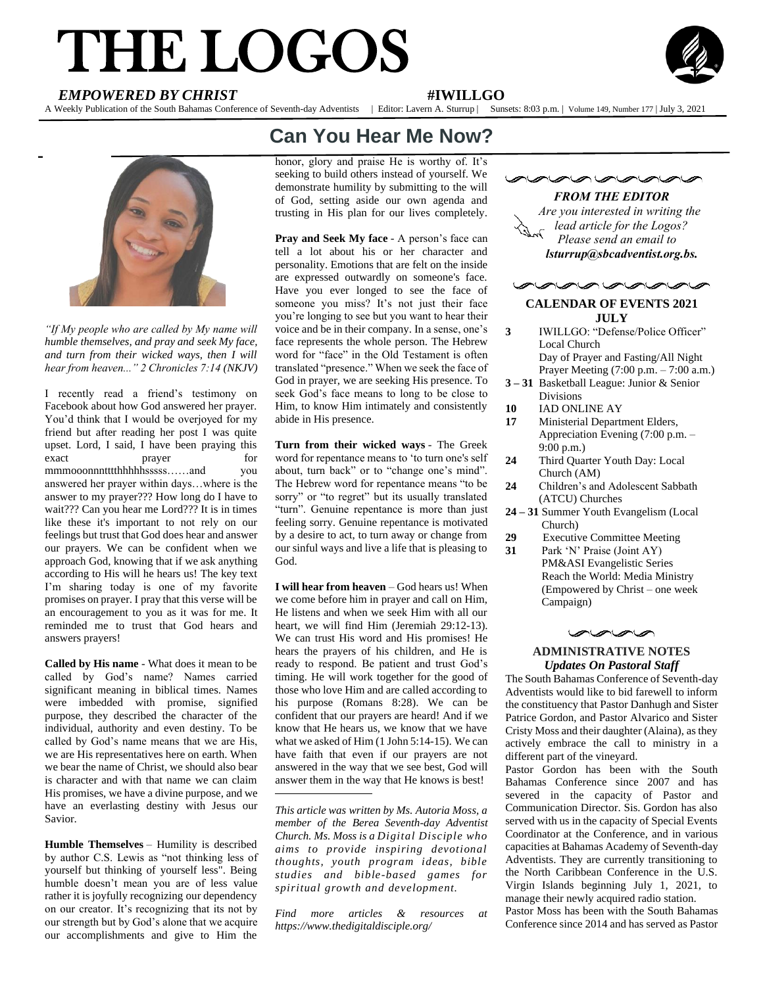# THE LOGOS **EMPOWERED BY CHRIST**<br> **EMPOWERED BY CHRIST**<br>
<br>
Veely Publication of the South Babanes Conference of Seventh-day Adventists | Editor Lavern A Surgery | Surgers



A Weekly Publication of the South Bahamas Conference of Seventh-day Adventists | Editor: Lavern A. Sturrup | Sunsets: 8:03 p.m. | Volume 149, Number 177 | July 3, 2021



*"If My people who are called by My name will humble themselves, and pray and seek My face, and turn from their wicked ways, then I will hear from heaven..." 2 Chronicles 7:14 (NKJV)*

I recently read a friend's testimony on Facebook about how God answered her prayer. You'd think that I would be overjoyed for my friend but after reading her post I was quite upset. Lord, I said, I have been praying this exact prayer for mmmooonnntttthhhhhsssss……and you answered her prayer within days…where is the answer to my prayer??? How long do I have to wait??? Can you hear me Lord??? It is in times like these it's important to not rely on our feelings but trust that God does hear and answer our prayers. We can be confident when we approach God, knowing that if we ask anything according to His will he hears us! The key text I'm sharing today is one of my favorite promises on prayer. I pray that this verse will be an encouragement to you as it was for me. It reminded me to trust that God hears and answers prayers!

**Called by His name** - What does it mean to be called by God's name? Names carried significant meaning in biblical times. Names were imbedded with promise, signified purpose, they described the character of the individual, authority and even destiny. To be called by God's name means that we are His, we are His representatives here on earth. When we bear the name of Christ, we should also bear is character and with that name we can claim His promises, we have a divine purpose, and we have an everlasting destiny with Jesus our Savior.

**Humble Themselves** – Humility is described by author C.S. Lewis as "not thinking less of yourself but thinking of yourself less". Being humble doesn't mean you are of less value rather it is joyfully recognizing our dependency on our creator. It's recognizing that its not by our strength but by God's alone that we acquire our accomplishments and give to Him the

## **Can You Hear Me Now?**

honor, glory and praise He is worthy of. It's seeking to build others instead of yourself. We demonstrate humility by submitting to the will of God, setting aside our own agenda and trusting in His plan for our lives completely.

**Pray and Seek My face** - A person's face can tell a lot about his or her character and personality. Emotions that are felt on the inside are expressed outwardly on someone's face. Have you ever longed to see the face of someone you miss? It's not just their face you're longing to see but you want to hear their voice and be in their company. In a sense, one's face represents the whole person. The Hebrew word for "face" in the Old Testament is often translated "presence." When we seek the face of God in prayer, we are seeking His presence. To seek God's face means to long to be close to Him, to know Him intimately and consistently abide in His presence.

**Turn from their wicked ways** - The Greek word for repentance means to 'to turn one's self about, turn back" or to "change one's mind". The Hebrew word for repentance means "to be sorry" or "to regret" but its usually translated "turn". Genuine repentance is more than just feeling sorry. Genuine repentance is motivated by a desire to act, to turn away or change from our sinful ways and live a life that is pleasing to God.

**I will hear from heaven** – God hears us! When we come before him in prayer and call on Him, He listens and when we seek Him with all our heart, we will find Him (Jeremiah 29:12-13). We can trust His word and His promises! He hears the prayers of his children, and He is ready to respond. Be patient and trust God's timing. He will work together for the good of those who love Him and are called according to his purpose (Romans 8:28). We can be confident that our prayers are heard! And if we know that He hears us, we know that we have what we asked of Him (1 John 5:14-15). We can have faith that even if our prayers are not answered in the way that we see best, God will answer them in the way that He knows is best!

*This article was written by Ms. Autoria Moss, a member of the Berea Seventh-day Adventist Church. Ms. Moss is a Digital Disciple who aims to provide inspiring devotional thoughts, youth program ideas, bible studies and bible-based games for spiritual growth and development.*

*Find more articles & resources at https://www.thedigitaldisciple.org/*



mananana

#### **CALENDAR OF EVENTS 2021 JULY**

- **3** IWILLGO: "Defense/Police Officer" Local Church Day of Prayer and Fasting/All Night
- Prayer Meeting (7:00 p.m. 7:00 a.m.) **3 – 31** Basketball League: Junior & Senior Divisions
- **10** IAD ONLINE AY
- **17** Ministerial Department Elders, Appreciation Evening (7:00 p.m. –
- 9:00 p.m.) **24** Third Quarter Youth Day: Local Church (AM)
- **24** Children's and Adolescent Sabbath (ATCU) Churches
- **24 – 31** Summer Youth Evangelism (Local Church)
- **29** Executive Committee Meeting
- **31** Park 'N' Praise (Joint AY) PM&ASI Evangelistic Series Reach the World: Media Ministry (Empowered by Christ – one week Campaign)



#### **ADMINISTRATIVE NOTES** *Updates On Pastoral Staff*

The South Bahamas Conference of Seventh-day Adventists would like to bid farewell to inform the constituency that Pastor Danhugh and Sister Patrice Gordon, and Pastor Alvarico and Sister Cristy Moss and their daughter (Alaina), as they actively embrace the call to ministry in a different part of the vineyard.

Pastor Gordon has been with the South Bahamas Conference since 2007 and has severed in the capacity of Pastor and Communication Director. Sis. Gordon has also served with us in the capacity of Special Events Coordinator at the Conference, and in various capacities at Bahamas Academy of Seventh-day Adventists. They are currently transitioning to the North Caribbean Conference in the U.S. Virgin Islands beginning July 1, 2021, to manage their newly acquired radio station.

Pastor Moss has been with the South Bahamas Conference since 2014 and has served as Pastor